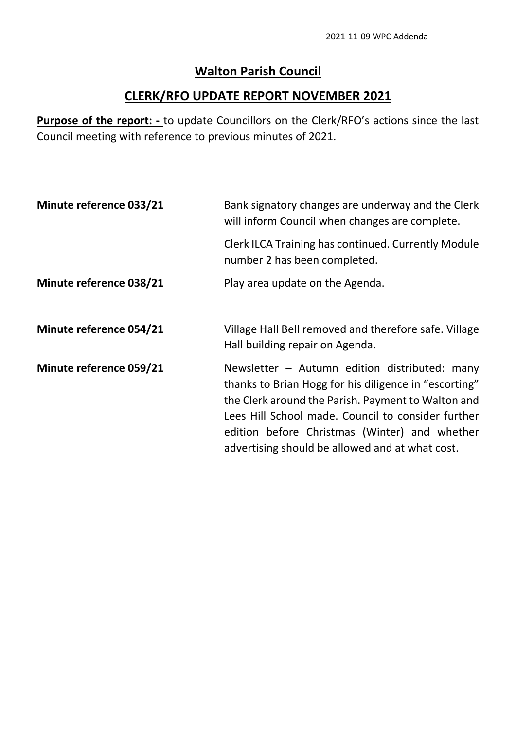## **Walton Parish Council**

## **CLERK/RFO UPDATE REPORT NOVEMBER 2021**

**Purpose of the report: -** to update Councillors on the Clerk/RFO's actions since the last Council meeting with reference to previous minutes of 2021.

| Minute reference 033/21        | Bank signatory changes are underway and the Clerk<br>will inform Council when changes are complete.                                                                                                                                                                                                                      |
|--------------------------------|--------------------------------------------------------------------------------------------------------------------------------------------------------------------------------------------------------------------------------------------------------------------------------------------------------------------------|
|                                | <b>Clerk ILCA Training has continued. Currently Module</b><br>number 2 has been completed.                                                                                                                                                                                                                               |
| <b>Minute reference 038/21</b> | Play area update on the Agenda.                                                                                                                                                                                                                                                                                          |
| <b>Minute reference 054/21</b> | Village Hall Bell removed and therefore safe. Village<br>Hall building repair on Agenda.                                                                                                                                                                                                                                 |
| Minute reference 059/21        | Newsletter $-$ Autumn edition distributed: many<br>thanks to Brian Hogg for his diligence in "escorting"<br>the Clerk around the Parish. Payment to Walton and<br>Lees Hill School made. Council to consider further<br>edition before Christmas (Winter) and whether<br>advertising should be allowed and at what cost. |